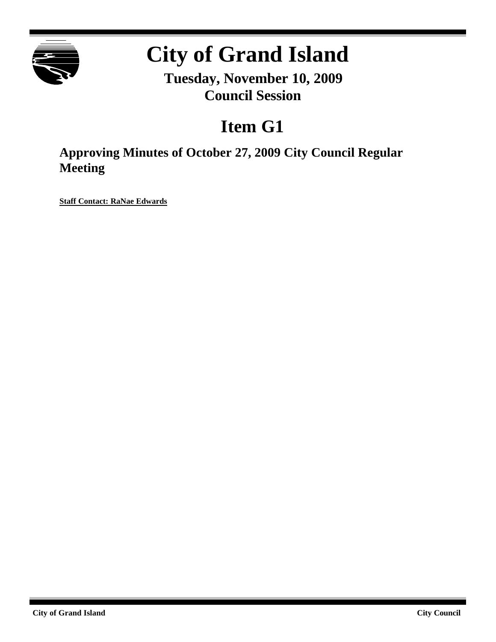

# **City of Grand Island**

**Tuesday, November 10, 2009 Council Session**

# **Item G1**

**Approving Minutes of October 27, 2009 City Council Regular Meeting**

**Staff Contact: RaNae Edwards**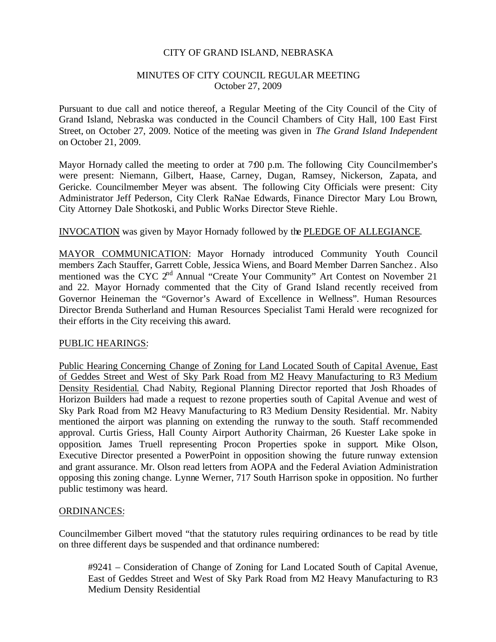# CITY OF GRAND ISLAND, NEBRASKA

### MINUTES OF CITY COUNCIL REGULAR MEETING October 27, 2009

Pursuant to due call and notice thereof, a Regular Meeting of the City Council of the City of Grand Island, Nebraska was conducted in the Council Chambers of City Hall, 100 East First Street, on October 27, 2009. Notice of the meeting was given in *The Grand Island Independent* on October 21, 2009.

Mayor Hornady called the meeting to order at 7:00 p.m. The following City Councilmember's were present: Niemann, Gilbert, Haase, Carney, Dugan, Ramsey, Nickerson, Zapata, and Gericke. Councilmember Meyer was absent. The following City Officials were present: City Administrator Jeff Pederson, City Clerk RaNae Edwards, Finance Director Mary Lou Brown, City Attorney Dale Shotkoski, and Public Works Director Steve Riehle.

### INVOCATION was given by Mayor Hornady followed by the PLEDGE OF ALLEGIANCE.

MAYOR COMMUNICATION: Mayor Hornady introduced Community Youth Council members Zach Stauffer, Garrett Coble, Jessica Wiens, and Board Member Darren Sanchez . Also mentioned was the CYC 2<sup>nd</sup> Annual "Create Your Community" Art Contest on November 21 and 22. Mayor Hornady commented that the City of Grand Island recently received from Governor Heineman the "Governor's Award of Excellence in Wellness". Human Resources Director Brenda Sutherland and Human Resources Specialist Tami Herald were recognized for their efforts in the City receiving this award.

#### PUBLIC HEARINGS:

Public Hearing Concerning Change of Zoning for Land Located South of Capital Avenue, East of Geddes Street and West of Sky Park Road from M2 Heavy Manufacturing to R3 Medium Density Residential. Chad Nabity, Regional Planning Director reported that Josh Rhoades of Horizon Builders had made a request to rezone properties south of Capital Avenue and west of Sky Park Road from M2 Heavy Manufacturing to R3 Medium Density Residential. Mr. Nabity mentioned the airport was planning on extending the runway to the south. Staff recommended approval. Curtis Griess, Hall County Airport Authority Chairman, 26 Kuester Lake spoke in opposition. James Truell representing Procon Properties spoke in support. Mike Olson, Executive Director presented a PowerPoint in opposition showing the future runway extension and grant assurance. Mr. Olson read letters from AOPA and the Federal Aviation Administration opposing this zoning change. Lynne Werner, 717 South Harrison spoke in opposition. No further public testimony was heard.

#### ORDINANCES:

Councilmember Gilbert moved "that the statutory rules requiring ordinances to be read by title on three different days be suspended and that ordinance numbered:

#9241 – Consideration of Change of Zoning for Land Located South of Capital Avenue, East of Geddes Street and West of Sky Park Road from M2 Heavy Manufacturing to R3 Medium Density Residential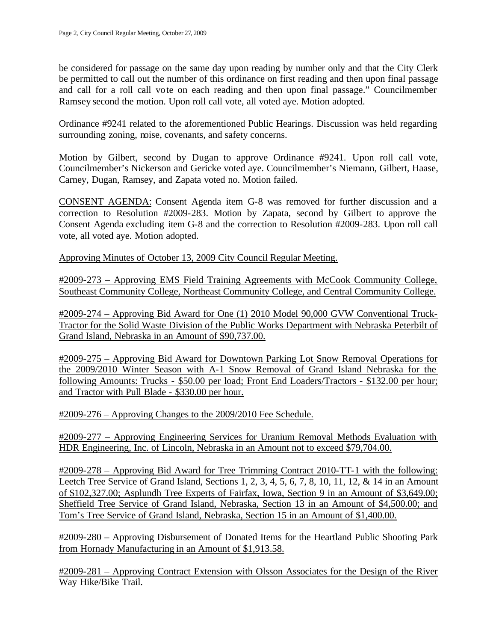be considered for passage on the same day upon reading by number only and that the City Clerk be permitted to call out the number of this ordinance on first reading and then upon final passage and call for a roll call vote on each reading and then upon final passage." Councilmember Ramsey second the motion. Upon roll call vote, all voted aye. Motion adopted.

Ordinance #9241 related to the aforementioned Public Hearings. Discussion was held regarding surrounding zoning, noise, covenants, and safety concerns.

Motion by Gilbert, second by Dugan to approve Ordinance #9241. Upon roll call vote, Councilmember's Nickerson and Gericke voted aye. Councilmember's Niemann, Gilbert, Haase, Carney, Dugan, Ramsey, and Zapata voted no. Motion failed.

CONSENT AGENDA: Consent Agenda item G-8 was removed for further discussion and a correction to Resolution #2009-283. Motion by Zapata, second by Gilbert to approve the Consent Agenda excluding item G-8 and the correction to Resolution #2009-283. Upon roll call vote, all voted aye. Motion adopted.

Approving Minutes of October 13, 2009 City Council Regular Meeting.

#2009-273 – Approving EMS Field Training Agreements with McCook Community College, Southeast Community College, Northeast Community College, and Central Community College.

#2009-274 – Approving Bid Award for One (1) 2010 Model 90,000 GVW Conventional Truck-Tractor for the Solid Waste Division of the Public Works Department with Nebraska Peterbilt of Grand Island, Nebraska in an Amount of \$90,737.00.

#2009-275 – Approving Bid Award for Downtown Parking Lot Snow Removal Operations for the 2009/2010 Winter Season with A-1 Snow Removal of Grand Island Nebraska for the following Amounts: Trucks - \$50.00 per load; Front End Loaders/Tractors - \$132.00 per hour; and Tractor with Pull Blade - \$330.00 per hour.

#2009-276 – Approving Changes to the 2009/2010 Fee Schedule.

#2009-277 – Approving Engineering Services for Uranium Removal Methods Evaluation with HDR Engineering, Inc. of Lincoln, Nebraska in an Amount not to exceed \$79,704.00.

#2009-278 – Approving Bid Award for Tree Trimming Contract 2010-TT-1 with the following: Leetch Tree Service of Grand Island, Sections 1, 2, 3, 4, 5, 6, 7, 8, 10, 11, 12, & 14 in an Amount of \$102,327.00; Asplundh Tree Experts of Fairfax, Iowa, Section 9 in an Amount of \$3,649.00; Sheffield Tree Service of Grand Island, Nebraska, Section 13 in an Amount of \$4,500.00; and Tom's Tree Service of Grand Island, Nebraska, Section 15 in an Amount of \$1,400.00.

#2009-280 – Approving Disbursement of Donated Items for the Heartland Public Shooting Park from Hornady Manufacturing in an Amount of \$1,913.58.

#2009-281 – Approving Contract Extension with Olsson Associates for the Design of the River Way Hike/Bike Trail.